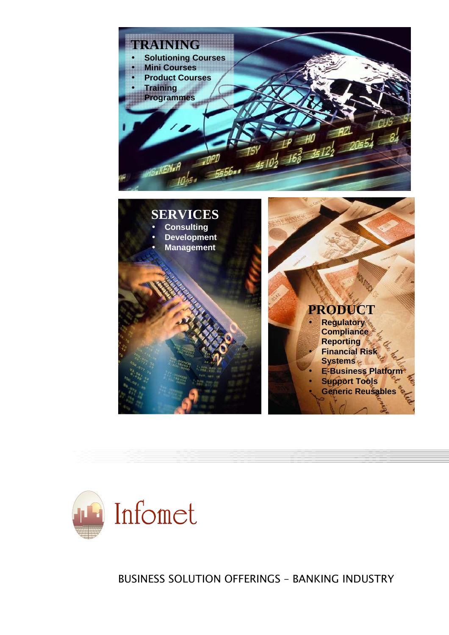



 *BUSINESS SOLUTION OFFERINGS – BANKING INDUSTRY*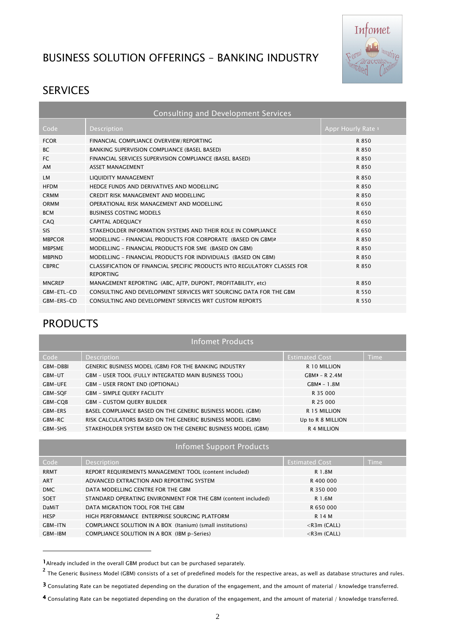# *BUSINESS SOLUTION OFFERINGS – BANKING INDUSTRY*



# *SERVICES*

| <b>Consulting and Development Services</b> |                                                                                               |                    |  |
|--------------------------------------------|-----------------------------------------------------------------------------------------------|--------------------|--|
| Code                                       | <b>Description</b>                                                                            | Appr Hourly Rate 1 |  |
| <b>FCOR</b>                                | FINANCIAL COMPLIANCE OVERVIEW/REPORTING                                                       | R 850              |  |
| <b>BC</b>                                  | BANKING SUPERVISION COMPLIANCE (BASEL BASED)                                                  | R 850              |  |
| FC.                                        | FINANCIAL SERVICES SUPERVISION COMPLIANCE (BASEL BASED)                                       | R 850              |  |
| AM                                         | <b>ASSET MANAGEMENT</b>                                                                       | R 850              |  |
| <b>LM</b>                                  | LIQUIDITY MANAGEMENT                                                                          | R 850              |  |
| <b>HFDM</b>                                | HEDGE FUNDS AND DERIVATIVES AND MODELLING                                                     | R 850              |  |
| <b>CRMM</b>                                | CREDIT RISK MANAGEMENT AND MODELLING                                                          | R 850              |  |
| ORMM                                       | OPERATIONAL RISK MANAGEMENT AND MODELLING                                                     | R 650              |  |
| <b>BCM</b>                                 | <b>BUSINESS COSTING MODELS</b>                                                                | R 650              |  |
| CAO                                        | <b>CAPITAL ADEOUACY</b>                                                                       | R 650              |  |
| <b>SIS</b>                                 | STAKEHOLDER INFORMATION SYSTEMS AND THEIR ROLE IN COMPLIANCE                                  | R 650              |  |
| <b>MBPCOR</b>                              | MODELLING - FINANCIAL PRODUCTS FOR CORPORATE (BASED ON GBM)2                                  | R 850              |  |
| <b>MRPSMF</b>                              | MODELLING - FINANCIAL PRODUCTS FOR SME (BASED ON GBM)                                         | R 850              |  |
| <b>MBPIND</b>                              | MODELLING - FINANCIAL PRODUCTS FOR INDIVIDUALS (BASED ON GBM)                                 | R 850              |  |
| <b>CBPRC</b>                               | CLASSIFICATION OF FINANCIAL SPECIFIC PRODUCTS INTO REGULATORY CLASSES FOR<br><b>REPORTING</b> | R 850              |  |
| <b>MNGREP</b>                              | MANAGEMENT REPORTING (ABC, AJTP, DUPONT, PROFITABILITY, etc)                                  | R 850              |  |
| GBM-ETL-CD                                 | CONSULTING AND DEVELOPMENT SERVICES WRT SOURCING DATA FOR THE GBM                             | R 550              |  |
| GBM-ERS-CD                                 | CONSULTING AND DEVELOPMENT SERVICES WRT CUSTOM REPORTS                                        | R 550              |  |
|                                            |                                                                                               |                    |  |

# *PRODUCTS*

 $\overline{a}$ 

| <b>Infomet Products</b> |                                                              |                       |             |  |
|-------------------------|--------------------------------------------------------------|-----------------------|-------------|--|
| Code                    | <b>Description</b>                                           | <b>Estimated Cost</b> | <b>Time</b> |  |
| <b>GBM-DBBI</b>         | <b>GENERIC BUSINESS MODEL (GBM) FOR THE BANKING INDUSTRY</b> | R 10 MILLION          |             |  |
| GBM-UT                  | GBM - USER TOOL (FULLY INTEGRATED MAIN BUSINESS TOOL)        | $GBM3 - R$ 2.4M       |             |  |
| <b>GBM-UFE</b>          | <b>GBM - USER FRONT END (OPTIONAL)</b>                       | $GBM4 - 1.8M$         |             |  |
| GBM-SQF                 | <b>GBM - SIMPLE QUERY FACILITY</b>                           | R 35 000              |             |  |
| GBM-CQB                 | <b>GBM - CUSTOM QUERY BUILDER</b>                            | R 25 000              |             |  |
| GBM-ERS                 | BASEL COMPLIANCE BASED ON THE GENERIC BUSINESS MODEL (GBM)   | R 15 MILLION          |             |  |
| GBM-RC                  | RISK CALCULATORS BASED ON THE GENERIC BUSINESS MODEL (GBM)   | Up to R 8 MILLION     |             |  |
| GBM-SHS                 | STAKEHOLDER SYSTEM BASED ON THE GENERIC BUSINESS MODEL (GBM) | R 4 MILLION           |             |  |

#### *Infomet Support Products*

| Code           | Description                                                   | <b>Estimated Cost</b> | <b>Time</b> |
|----------------|---------------------------------------------------------------|-----------------------|-------------|
| <b>RRMT</b>    | REPORT REQUIREMENTS MANAGEMENT TOOL (content included)        | R 1.8M                |             |
| <b>ART</b>     | ADVANCED EXTRACTION AND REPORTING SYSTEM                      | R 400 000             |             |
| <b>DMC</b>     | DATA MODELLING CENTRE FOR THE GBM                             | R 350 000             |             |
| <b>SOET</b>    | STANDARD OPERATING ENVIRONMENT FOR THE GBM (content included) | R 1.6M                |             |
| DaMiT          | DATA MIGRATION TOOL FOR THE GBM                               | R 650 000             |             |
| <b>HESP</b>    | HIGH PERFORMANCE ENTERPRISE SOURCING PLATFORM                 | R 14 M                |             |
| <b>GBM-ITN</b> | COMPLIANCE SOLUTION IN A BOX (Itanium) (small institutions)   | $<$ R3m (CALL)        |             |
| GBM-IBM        | COMPLIANCE SOLUTION IN A BOX (IBM p-Series)                   | $<$ R3m (CALL)        |             |

*<sup>1</sup>Already included in the overall GBM product but can be purchased separately.* 

**<sup>2</sup>** *The Generic Business Model (GBM) consists of a set of predefined models for the respective areas, as well as database structures and rules.* 

*<sup>3</sup> Consulating Rate can be negotiated depending on the duration of the engagement, and the amount of material / knowledge transferred.* 

*<sup>4</sup> Consulating Rate can be negotiated depending on the duration of the engagement, and the amount of material / knowledge transferred.*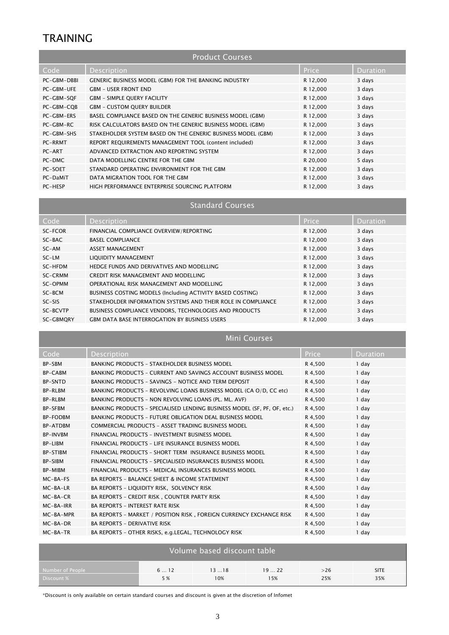# *TRAINING*

| <b>Product Courses</b> |                                                              |              |                 |  |
|------------------------|--------------------------------------------------------------|--------------|-----------------|--|
| Code                   | <b>Description</b>                                           | <b>Price</b> | <b>Duration</b> |  |
| PC-GBM-DBBI            | <b>GENERIC BUSINESS MODEL (GBM) FOR THE BANKING INDUSTRY</b> | R 12,000     | 3 days          |  |
| PC-GBM-UFE             | <b>GBM - USER FRONT END</b>                                  | R 12,000     | 3 days          |  |
| PC-GBM-SQF             | <b>GBM - SIMPLE QUERY FACILITY</b>                           | R 12,000     | 3 days          |  |
| PC-GBM-CQB             | <b>GBM - CUSTOM QUERY BUILDER</b>                            | R 12,000     | 3 days          |  |
| PC-GBM-ERS             | BASEL COMPLIANCE BASED ON THE GENERIC BUSINESS MODEL (GBM)   | R 12,000     | 3 days          |  |
| PC-GBM-RC              | RISK CALCULATORS BASED ON THE GENERIC BUSINESS MODEL (GBM)   | R 12,000     | 3 days          |  |
| PC-GBM-SHS             | STAKEHOLDER SYSTEM BASED ON THE GENERIC BUSINESS MODEL (GBM) | R 12,000     | 3 days          |  |
| PC-RRMT                | REPORT REQUIREMENTS MANAGEMENT TOOL (content included)       | R 12,000     | 3 days          |  |
| PC-ART                 | ADVANCED EXTRACTION AND REPORTING SYSTEM                     | R 12,000     | 3 days          |  |
| PC-DMC                 | DATA MODELLING CENTRE FOR THE GBM                            | R 20,000     | 5 days          |  |
| PC-SOET                | STANDARD OPERATING ENVIRONMENT FOR THE GBM                   | R 12,000     | 3 days          |  |
| PC-DaMiT               | DATA MIGRATION TOOL FOR THE GBM                              | R 12,000     | 3 days          |  |
| PC-HESP                | HIGH PERFORMANCE ENTERPRISE SOURCING PLATFORM                | R 12,000     | 3 days          |  |

## *Standard Courses*

| Code      | <b>Description</b>                                           | <b>Price</b> | <b>Duration</b> |
|-----------|--------------------------------------------------------------|--------------|-----------------|
| SC-FCOR   | FINANCIAL COMPLIANCE OVERVIEW/REPORTING                      | R 12,000     | 3 days          |
| $SC-BAC$  | <b>BASEL COMPLIANCE</b>                                      | R 12,000     | 3 days          |
| SC-AM     | <b>ASSET MANAGEMENT</b>                                      | R 12,000     | 3 days          |
| $SC-LM$   | LIQUIDITY MANAGEMENT                                         | R 12,000     | 3 days          |
| SC-HFDM   | HEDGE FUNDS AND DERIVATIVES AND MODELLING                    | R 12,000     | 3 days          |
| SC-CRMM   | CREDIT RISK MANAGEMENT AND MODELLING                         | R 12,000     | 3 days          |
| SC-OPMM   | OPERATIONAL RISK MANAGEMENT AND MODELLING                    | R 12,000     | 3 days          |
| SC-BCM    | BUSINESS COSTING MODELS (Including ACTIVITY BASED COSTING)   | R 12,000     | 3 days          |
| $SC-SIS$  | STAKEHOLDER INFORMATION SYSTEMS AND THEIR ROLE IN COMPLIANCE | R 12,000     | 3 days          |
| SC-BCVTP  | BUSINESS COMPLIANCE VENDORS, TECHNOLOGIES AND PRODUCTS       | R 12,000     | 3 days          |
| SC-GBMQRY | <b>GBM DATA BASE INTERROGATION BY BUSINESS USERS</b>         | R 12,000     | 3 days          |

### *Mini Courses*

| Code            | <b>Description</b>                                                       | <b>Price</b> | Duration |
|-----------------|--------------------------------------------------------------------------|--------------|----------|
| <b>BP-SBM</b>   | <b>BANKING PRODUCTS - STAKEHOLDER BUSINESS MODEL</b>                     | R 4,500      | 1 day    |
| <b>BP-CABM</b>  | BANKING PRODUCTS - CURRENT AND SAVINGS ACCOUNT BUSINESS MODEL            | R 4,500      | 1 day    |
| <b>BP-SNTD</b>  | BANKING PRODUCTS - SAVINGS - NOTICE AND TERM DEPOSIT                     | R 4,500      | 1 day    |
| <b>BP-RLBM</b>  | BANKING PRODUCTS - REVOLVING LOANS BUSINESS MODEL (CA O/D. CC etc)       | R 4,500      | 1 day    |
| <b>BP-RLBM</b>  | BANKING PRODUCTS - NON REVOLVING LOANS (PL. ML. AVF)                     | R 4,500      | 1 day    |
| <b>BP-SFBM</b>  | BANKING PRODUCTS - SPECIALISED LENDING BUSINESS MODEL (SF, PF, OF, etc.) | R 4,500      | 1 day    |
| <b>BP-FODBM</b> | <b>BANKING PRODUCTS - FUTURE OBLIGATION DEAL BUSINESS MODEL</b>          | R 4,500      | 1 day    |
| <b>BP-ATDBM</b> | COMMERCIAL PRODUCTS - ASSET TRADING BUSINESS MODEL                       | R 4,500      | 1 day    |
| <b>BP-INVBM</b> | FINANCIAL PRODUCTS - INVESTMENT BUSINESS MODEL                           | R 4,500      | 1 day    |
| BP-LIBM         | FINANCIAL PRODUCTS - LIFE INSURANCE BUSINESS MODEL                       | R 4,500      | 1 day    |
| <b>BP-STIBM</b> | FINANCIAL PRODUCTS - SHORT TERM INSURANCE BUSINESS MODEL                 | R 4.500      | 1 day    |
| <b>BP-SIBM</b>  | FINANCIAL PRODUCTS - SPECIALISED INSURANCES BUSINESS MODEL               | R 4,500      | 1 day    |
| <b>BP-MIBM</b>  | FINANCIAL PRODUCTS - MEDICAL INSURANCES BUSINESS MODEL                   | R 4,500      | 1 day    |
| $MC-BA-FS$      | <b>BA REPORTS - BALANCE SHEET &amp; INCOME STATEMENT</b>                 | R 4,500      | 1 day    |
| MC-BA-LR        | BA REPORTS - LIQUIDITY RISK, SOLVENCY RISK                               | R 4,500      | 1 day    |
| $MC-BA-CR$      | BA REPORTS - CREDIT RISK, COUNTER PARTY RISK                             | R 4,500      | 1 day    |
| MC-BA-IRR       | <b>BA REPORTS - INTEREST RATE RISK</b>                                   | R 4,500      | 1 day    |
| MC-BA-MPR       | BA REPORTS - MARKET / POSITION RISK, FOREIGN CURRENCY EXCHANGE RISK      | R 4.500      | 1 day    |
| $MC-BA-DR$      | <b>BA REPORTS - DERIVATIVE RISK</b>                                      | R 4.500      | 1 day    |
| MC-BA-TR        | BA REPORTS - OTHER RISKS, e.g.LEGAL, TECHNOLOGY RISK                     | R 4,500      | 1 day    |

| Volume based discount table |     |      |      |        |             |  |
|-----------------------------|-----|------|------|--------|-------------|--|
| Number of People            | 612 | 1318 | 1922 | $>$ 26 | <b>SITE</b> |  |
| Discount %                  | 5 % | 10%  | 15%  | 25%    | 35%         |  |

*\*Discount is only available on certain standard courses and discount is given at the discretion of Infomet*